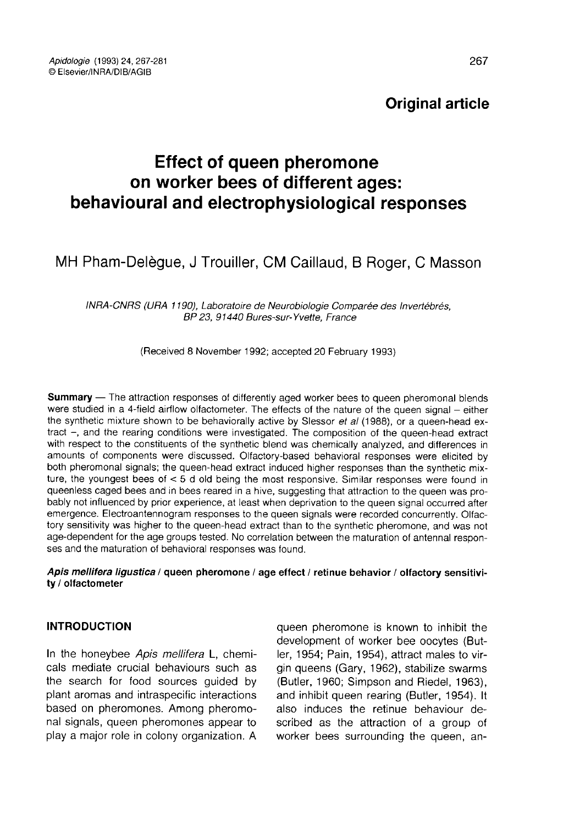Original article

# Effect of queen pheromone on worker bees of different ages: behavioural and electrophysiological responses

## MH Pham-Delègue, J Trouiller, CM Caillaud, B Roger, C Masson

INRA-CNRS (URA 1190), Laboratoire de Neurobiologie Comparée des Invertébrés, BP 23, 91440 Bures-sur-Yvette, France

(Received 8 November 1992; accepted 20 February 1993)

**Summary** — The attraction responses of differently aged worker bees to queen pheromonal blends were studied in a 4-field airflow olfactometer. The effects of the nature of the queen signal — either the synthetic mixture shown to be behaviorally active by Slessor et al (1988), or a queen-head extract -, and the rearing conditions were investigated. The composition of the queen-head extract with respect to the constituents of the synthetic blend was chemically analyzed, and differences in amounts of components were discussed. Olfactory-based behavioral responses were elicited by both pheromonal signals; the queen-head extract induced higher responses than the synthetic mixture, the youngest bees of < 5 d old being the most responsive. Similar responses were found in queenless caged bees and in bees reared in a hive, suggesting that attraction to the queen was probably not influenced by prior experience, at least when deprivation to the queen signal occurred after emergence. Electroantennogram responses to the queen signals were recorded concurrently. Olfactory sensitivity was higher to the queen-head extract than to the synthetic pheromone, and was not age-dependent for the age groups tested. No correlation between the maturation of antennal respon ses and the maturation of behavioral responses was found.

#### Apis mellifera ligustica / queen pheromone / age effect / retinue behavior / olfactory sensitivity / olfactometer

## INTRODUCTION

In the honeybee Apis mellifera L, chemicals mediate crucial behaviours such as the search for food sources guided by plant aromas and intraspecific interactions based on pheromones. Among pheromonal signals, queen pheromones appear to play a major role in colony organization. A

queen pheromone is known to inhibit the development of worker bee oocytes (Butler, 1954; Pain, 1954), attract males to virgin queens (Gary, 1962), stabilize swarms (Butler, 1960; Simpson and Riedel, 1963), and inhibit queen rearing (Butler, 1954). It also induces the retinue behaviour described as the attraction of a group of worker bees surrounding the queen, an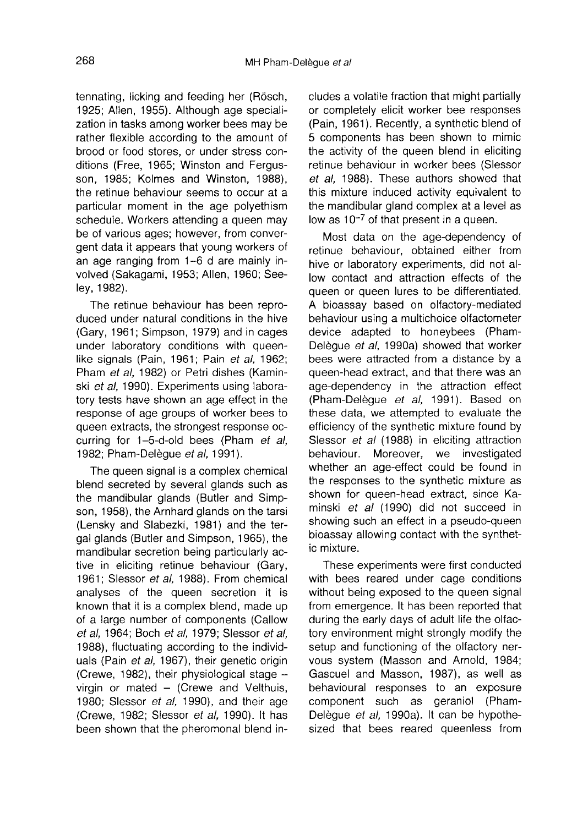tennating, licking and feeding her (Rösch, 1925; Allen, 1955). Although age specialization in tasks among worker bees may be rather flexible according to the amount of brood or food stores, or under stress conditions (Free, 1965; Winston and Fergus son, 1985; Kolmes and Winston, 1988), the retinue behaviour seems to occur at a particular moment in the age polyethism schedule. Workers attending a queen may be of various ages; however, from convergent data it appears that young workers of an age ranging from 1-6 d are mainly involved (Sakagami, 1953; Allen, 1960; Seeley, 1982).

The retinue behaviour has been reproduced under natural conditions in the hive (Gary, 1961; Simpson, 1979) and in cages under laboratory conditions with queenlike signals (Pain, 1961; Pain et al, 1962; Pham et al, 1982) or Petri dishes (Kaminski et al, 1990). Experiments using laboratory tests have shown an age effect in the response of age groups of worker bees to queen extracts, the strongest response occurring for 1-5-d-old bees (Pham et al, 1982: Pham-Delègue et al. 1991).

The queen signal is a complex chemical blend secreted by several glands such as the mandibular glands (Butler and Simp son, 1958), the Arnhard glands on the tarsi (Lensky and Slabezki, 1981) and the tergal glands (Butler and Simpson, 1965), the mandibular secretion being particularly active in eliciting retinue behaviour (Gary, 1961; Slessor et al, 1988). From chemical analyses of the queen secretion it is known that it is a complex blend, made up of a large number of components (Callow et al, 1964; Boch et al, 1979; Slessor et al, 1988), fluctuating according to the individuals (Pain et al, 1967), their genetic origin (Crewe, 1982), their physiological stage virgin or mated — (Crewe and Velthuis, 1980; Slessor et al, 1990), and their age (Crewe, 1982; Slessor et al, 1990). It has been shown that the pheromonal blend includes a volatile fraction that might partially or completely elicit worker bee responses (Pain, 1961). Recently, a synthetic blend of 5 components has been shown to mimic the activity of the queen blend in eliciting retinue behaviour in worker bees (Slessor et al, 1988). These authors showed that this mixture induced activity equivalent to the mandibular gland complex at a level as low as  $10^{-7}$  of that present in a queen.

Most data on the age-dependency of retinue behaviour, obtained either from hive or laboratory experiments, did not allow contact and attraction effects of the queen or queen lures to be differentiated. A bioassay based on olfactory-mediated behaviour using a multichoice olfactometer device adapted to honeybees (Pham-Delègue et al, 1990a) showed that worker bees were attracted from a distance by a queen-head extract, and that there was an age-dependency in the attraction effect (Pham-Delègue et al, 1991). Based on these data, we attempted to evaluate the efficiency of the synthetic mixture found by Slessor et al (1988) in eliciting attraction behaviour. Moreover, we investigated whether an age-effect could be found in the responses to the synthetic mixture as shown for queen-head extract, since Kaminski et al (1990) did not succeed in showing such an effect in a pseudo-queen bioassay allowing contact with the synthetic mixture.

These experiments were first conducted with bees reared under cage conditions without being exposed to the queen signal from emergence. It has been reported that during the early days of adult life the olfactory environment might strongly modify the setup and functioning of the olfactory nervous system (Masson and Arnold, 1984; Gascuel and Masson, 1987), as well as behavioural responses to an exposure component such as geraniol (Pham-Delègue et al, 1990a). It can be hypothesized that bees reared queenless from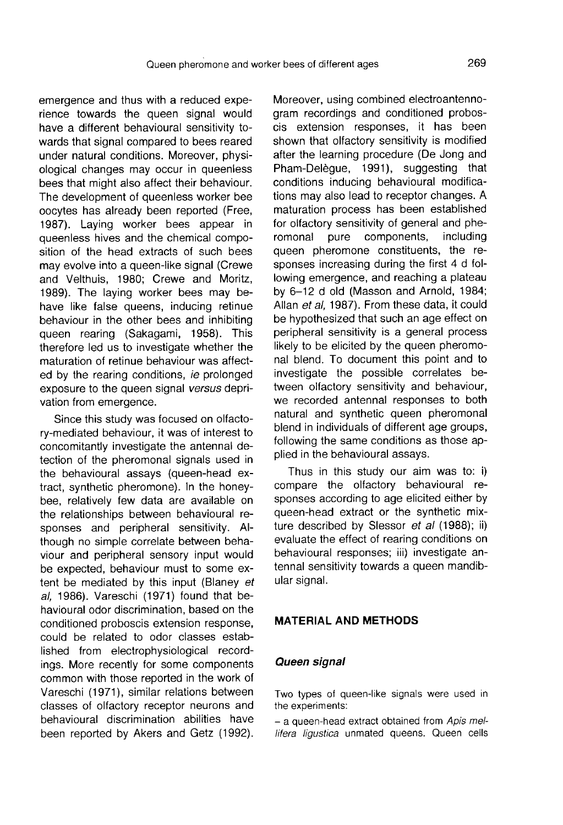emergence and thus with a reduced experience towards the queen signal would have a different behavioural sensitivity towards that signal compared to bees reared under natural conditions. Moreover, physiological changes may occur in queenless bees that might also affect their behaviour. The development of queenless worker bee oocytes has already been reported (Free, 1987). Laying worker bees appear in queenless hives and the chemical composition of the head extracts of such bees may evolve into a queen-like signal (Crewe and Velthuis, 1980; Crewe and Moritz, 1989). The laying worker bees may behave like false queens, inducing retinue behaviour in the other bees and inhibiting queen rearing (Sakagami, 1958). This therefore led us to investigate whether the maturation of retinue behaviour was affected by the rearing conditions, ie prolonged exposure to the queen signal versus deprivation from emergence.

Since this study was focused on olfactory-mediated behaviour, it was of interest to concomitantly investigate the antennal detection of the pheromonal signals used in the behavioural assays (queen-head extract, synthetic pheromone). In the honeybee, relatively few data are available on the relationships between behavioural responses and peripheral sensitivity. Although no simple correlate between behaviour and peripheral sensory input would be expected, behaviour must to some extent be mediated by this input (Blaney et al, 1986). Vareschi (1971) found that behavioural odor discrimination, based on the conditioned proboscis extension response, could be related to odor classes established from electrophysiological recordings. More recently for some components common with those reported in the work of Vareschi (1971), similar relations between classes of olfactory receptor neurons and behavioural discrimination abilities have been reported by Akers and Getz (1992). Moreover, using combined electroantennogram recordings and conditioned proboscis extension responses, it has been shown that olfactory sensitivity is modified after the learning procedure (De Jong and Pham-Delègue, 1991), suggesting that conditions inducing behavioural modifications may also lead to receptor changes. A maturation process has been established for olfactory sensitivity of general and phe-<br>romonal pure components, including components. queen pheromone constituents, the responses increasing during the first 4 d following emergence, and reaching a plateau by 6-12 d old (Masson and Arnold, 1984; Allan et al, 1987). From these data, it could be hypothesized that such an age effect on peripheral sensitivity is a general process likely to be elicited by the queen pheromonal blend. To document this point and to investigate the possible correlates between olfactory sensitivity and behaviour, we recorded antennal responses to both natural and synthetic queen pheromonal blend in individuals of different age groups, following the same conditions as those applied in the behavioural assays.

Thus in this study our aim was to: i) compare the olfactory behavioural responses according to age elicited either by queen-head extract or the synthetic mixture described by Slessor et al (1988); ii) evaluate the effect of rearing conditions on behavioural responses; iii) investigate antennal sensitivity towards a queen mandibular signal.

## MATERIAL AND METHODS

#### Queen signal

Two types of queen-like signals were used in the experiments:

- a queen-head extract obtained from Apis mellifera ligustica unmated queens. Queen cells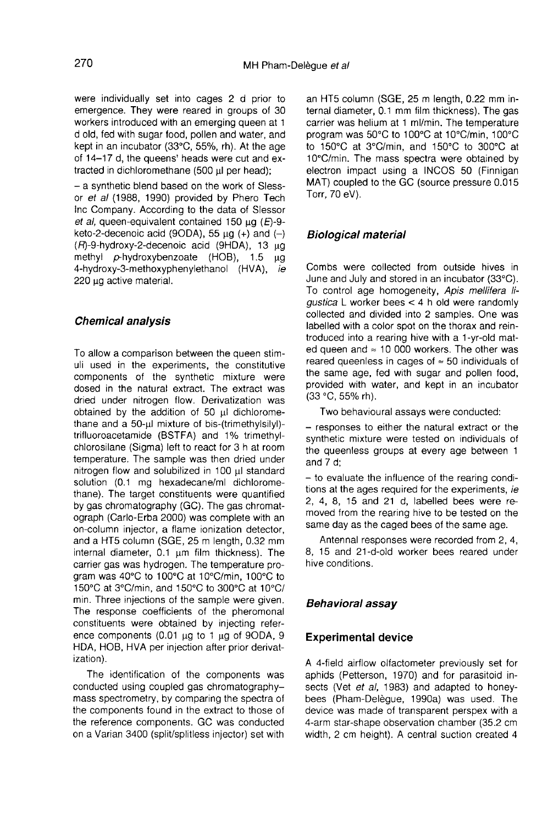were individually set into cages 2 d prior to emergence. They were reared in groups of 30 workers introduced with an emerging queen at 1 d old, fed with sugar food, pollen and water, and kept in an incubator (33°C, 55%, rh). At the age of 14-17 d, the queens' heads were cut and extracted in dichloromethane (500 μl per head);

- a synthetic blend based on the work of Slessor et al (1988, 1990) provided by Phero Tech Inc Company. According to the data of Slessor et al, queen-equivalent contained 150  $\mu$ g (E)-9keto-2-decenoic acid (9ODA), 55  $\mu$ g (+) and (-) (R)-9-hydroxy-2-decenoic acid (9HDA), 13 μg methyl p-hydroxybenzoate (HOB), 1.5 μg 4-hydroxy-3-methoxyphenylethanol (HVA), ie 220 μg active material.

#### Chemical analysis

To allow a comparison between the queen stimuli used in the experiments, the constitutive components of the synthetic mixture were dosed in the natural extract. The extract was dried under nitrogen flow. Derivatization was obtained by the addition of 50 μl dichloromethane and a 50-μl mixture of bis-(trimethylsilyl) trifluoroacetamide (BSTFA) and 1% trimethylchlorosilane (Sigma) left to react for 3 h at room temperature. The sample was then dried under nitrogen flow and solubilized in 100 μl standard solution (0.1 mg hexadecane/ml dichloromethane). The target constituents were quantified by gas chromatography (GC). The gas chromatograph (Carlo-Erba 2000) was complete with an on-column injector, a flame ionization detector, and a HT5 column (SGE, 25 m length, 0.32 mm internal diameter, 0.1 μm film thickness). The carrier gas was hydrogen. The temperature program was 40°C to 100°C at 10°C/min, 100°C to 150°C at 3°C/min, and 150°C to 300°C at 10°C/ min. Three injections of the sample were given. The response coefficients of the pheromonal constituents were obtained by injecting reference components (0.01 μg to 1 μg of 9ODA, 9 HDA, HOB, HVA per injection after prior derivatization).

The identification of the components was conducted using coupled gas chromatography mass spectrometry, by comparing the spectra of the components found in the extract to those of the reference components. GC was conducted on a Varian 3400 (split/splitless injector) set with

an HT5 column (SGE, 25 m length, 0.22 mm internal diameter, 0.1 mm film thickness). The gas carrier was helium at 1 ml/min. The temperature program was 50°C to 100°C at 10°C/min, 100°C to 150°C at 3°C/min, and 150°C to 300°C at 10°C/min. The mass spectra were obtained by electron impact using a INCOS 50 (Finnigan MAT) coupled to the GC (source pressure 0.015 Torr, 70 eV).

## Biological material

Combs were collected from outside hives in June and July and stored in an incubator (33°C). To control age homogeneity, Apis mellifera ligustica L worker bees < 4 h old were randomly collected and divided into 2 samples. One was labelled with a color spot on the thorax and reintroduced into a rearing hive with a 1-yr-old mated queen and  $\approx$  10 000 workers. The other was reared queenless in cages of ≈ 50 individuals of the same age, fed with sugar and pollen food, provided with water, and kept in an incubator (33 °C, 55% rh).

Two behavioural assays were conducted:

- responses to either the natural extract or the synthetic mixture were tested on individuals of the queenless groups at every age between 1 and 7 d;

- to evaluate the influence of the rearing conditions at the ages required for the experiments, ie 2, 4, 8, 15 and 21 d, labelled bees were removed from the rearing hive to be tested on the same day as the caged bees of the same age.

Antennal responses were recorded from 2, 4, 8, 15 and 21-d-old worker bees reared under hive conditions.

## Behavioral assay

## Experimental device

A 4-field airflow olfactometer previously set for aphids (Petterson, 1970) and for parasitoid insects (Vet et al, 1983) and adapted to honeybees (Pham-Delègue, 1990a) was used. The device was made of transparent perspex with a 4-arm star-shape observation chamber (35.2 cm width, 2 cm height). A central suction created 4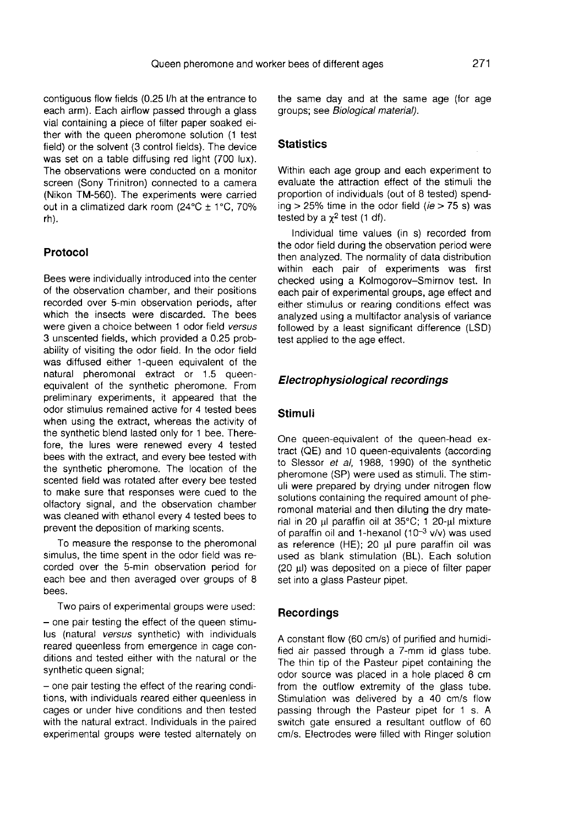contiguous flow fields (0.25 l/h at the entrance to each arm). Each airflow passed through a glass vial containing a piece of filter paper soaked either with the queen pheromone solution (1 test field) or the solvent (3 control fields). The device was set on a table diffusing red light (700 lux). The observations were conducted on a monitor screen (Sony Trinitron) connected to a camera (Nikon TM-560). The experiments were carried out in a climatized dark room  $(24^{\circ}C + 1^{\circ}C, 70\%$ rh).

## Protocol

Bees were individually introduced into the center of the observation chamber, and their positions recorded over 5-min observation periods, after which the insects were discarded. The bees were given a choice between 1 odor field versus 3 unscented fields, which provided a 0.25 probability of visiting the odor field. In the odor field was diffused either 1-queen equivalent of the natural pheromonal extract or 1.5 queenequivalent of the synthetic pheromone. From preliminary experiments, it appeared that the odor stimulus remained active for 4 tested bees when using the extract, whereas the activity of the synthetic blend lasted only for 1 bee. Therefore, the lures were renewed every 4 tested bees with the extract, and every bee tested with the synthetic pheromone. The location of the scented field was rotated after every bee tested to make sure that responses were cued to the olfactory signal, and the observation chamber was cleaned with ethanol every 4 tested bees to prevent the deposition of marking scents.

To measure the response to the pheromonal simulus, the time spent in the odor field was recorded over the 5-min observation period for each bee and then averaged over groups of 8 bees.

Two pairs of experimental groups were used: - one pair testing the effect of the queen stimulus (natural versus synthetic) with individuals reared queenless from emergence in cage conditions and tested either with the natural or the synthetic queen signal;

- one pair testing the effect of the rearing conditions, with individuals reared either queenless in cages or under hive conditions and then tested with the natural extract. Individuals in the paired experimental groups were tested alternately on the same day and at the same age (for age groups; see Biological material).

## **Statistics**

Within each age group and each experiment to evaluate the attraction effect of the stimuli the proportion of individuals (out of 8 tested) spending  $>$  25% time in the odor field ( $ie$   $>$  75 s) was tested by a  $\chi^2$  test (1 df).

Individual time values (in s) recorded from the odor field during the observation period were then analyzed. The normality of data distribution within each pair of experiments was first checked using a Kolmogorov-Smirnov test. In each pair of experimental groups, age effect and either stimulus or rearing conditions effect was analyzed using a multifactor analysis of variance followed by a least significant difference (LSD) test applied to the age effect.

#### Electrophysiological recordings

#### Stimuli

One queen-equivalent of the queen-head extract (QE) and 10 queen-equivalents (according to Slessor et al, 1988, 1990) of the synthetic pheromone (SP) were used as stimuli. The stimuli were prepared by drying under nitrogen flow solutions containing the required amount of pheromonal material and then diluting the dry material in 20 μl paraffin oil at 35°C; 1 20-μl mixture of paraffin oil and 1-hexanol (10 $-3$  v/v) was used as reference (HE); 20 μl pure paraffin oil was used as blank stimulation (BL). Each solution (20 μl) was deposited on a piece of filter paper set into a glass Pasteur pipet.

#### **Recordings**

A constant flow (60 cm/s) of purified and humidified air passed through a 7-mm id glass tube. The thin tip of the Pasteur pipet containing the odor source was placed in a hole placed 8 cm from the outflow extremity of the glass tube. Stimulation was delivered by a 40 cm/s flow passing through the Pasteur pipet for 1 s. A switch gate ensured a resultant outflow of 60 cm/s. Electrodes were filled with Ringer solution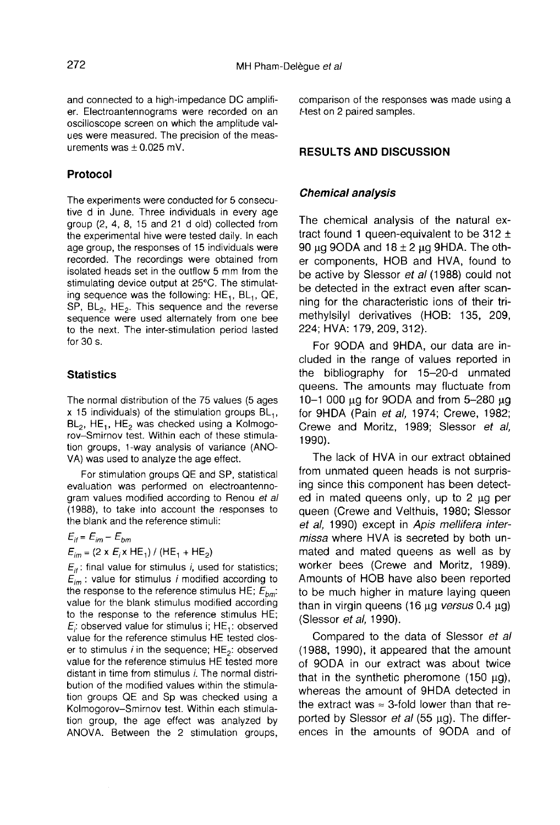and connected to a high-impedance DC amplifi er. Electroantennograms were recorded on an oscilloscope screen on which the amplitude values were measured. The precision of the measurements was  $\pm$  0.025 mV.

#### Protocol

The experiments were conducted for 5 consecutive d in June. Three individuals in every age group (2, 4, 8, 15 and 21 d old) collected from the experimental hive were tested daily. In each age group, the responses of 15 individuals were recorded. The recordings were obtained from isolated heads set in the outflow 5 mm from the stimulating device output at 25°C. The stimulatstimulating device output at 25°C. The stimulating sequence was the following:  $HE_1$ ,  $BL_1$ ,  $QE$ ,  $SB$ ,  $BE$ ,  $HE$ ,  $This$  sequence and the reverse ing sequence was the following:  $HE_1$ ,  $BE_1$ ,  $QE$ ,  $SP$ ,  $BE_2$ . This sequence and the reverse<br>sequence were used alternately from one bee sequence were used alternately from one bee to the next. The inter-stimulation period lasted for 30 s.

#### **Statistics**

The normal distribution of the 75 values (5 ages x 15 individuals) of the stimulation groups  $BL_1$ ,  $BL_2$ , HE<sub>1</sub>, HE<sub>2</sub> was checked using a Kolmogorov-Smirnov test. Within each of these stimulation groups, 1-way analysis of variance (ANO-VA) was used to analyze the age effect.

For stimulation groups QE and SP, statistical evaluation was performed on electroantennogram values modified according to Renou et al (1988), to take into account the responses to the blank and the reference stimuli:

 $E_{it} = E_{im} - E_{bm}$ 

 $E_{im}$  = (2 x  $E_i$ x HE<sub>1</sub>) / (HE<sub>1</sub> + HE<sub>2</sub>)<br> $E_{if}$ : final value for stimulus *i*, used for statistics;  $E_{if}$ : final value for stimulus *i*, used for statistics;<br> $E_{im}$ : value for stimulus *i* modified according to<br>the respecte to the reference stimulus HE: E  $E_{im}$ : value for stimulus *i* modified according to<br>the response to the reference stimulus HE;  $E_{bm}$ <br>value for the blank stimulus modified according to the response to the reference stimulus  $HE_i$ : observed value for stimulus i;  $HE_i$ : observed<br>value for the reference stimulus HE tested close value for the reference stimulus HE tested clos-<br>er to stimulus *i* in the sequence;  $HE_2$ : observed<br>value for the reference stimulus HE tested more value for the reference stimulus HE tested more distant in time from stimulus i. The normal distribution of the modified values within the stimulation groups QE and Sp was checked using a Kolmogorov-Smirnov test. Within each stimulation group, the age effect was analyzed by ANOVA. Between the 2 stimulation groups, comparison of the responses was made using a t-test on 2 paired samples.

#### RESULTS AND DISCUSSION

#### Chemical analysis

The chemical analysis of the natural extract found 1 queen-equivalent to be 312  $\pm$ 90 μg 9ODA and  $18 \pm 2$  μg 9HDA. The other components, HOB and HVA, found to be active by Slessor et al (1988) could not be detected in the extract even after scanning for the characteristic ions of their trimethylsilyl derivatives (HOB: 135, 209, 224; HVA: 179, 209, 312).

For 9ODA and 9HDA, our data are included in the range of values reported in the bibliography for 15-20-d unmated queens. The amounts may fluctuate from 10-1 000 μg for 9ODA and from 5-280 μg for 9HDA (Pain et al, 1974; Crewe, 1982; Crewe and Moritz, 1989; Slessor et al, 1990).

The lack of HVA in our extract obtained from unmated queen heads is not surprising since this component has been detected in mated queens only, up to 2 μg per queen (Crewe and Velthuis, 1980; Slessor et al, 1990) except in Apis mellifera intermissa where HVA is secreted by both unmated and mated queens as well as by worker bees (Crewe and Moritz, 1989). Amounts of HOB have also been reported to be much higher in mature laying queen than in virgin queens (16 μg versus 0.4 μg) (Slessor et al, 1990).

Compared to the data of Slessor et al (1988, 1990), it appeared that the amount of 9ODA in our extract was about twice that in the synthetic pheromone (150 μg), whereas the amount of 9HDA detected in the extract was  $\approx$  3-fold lower than that reported by Slessor *et al* (55  $\mu$ g). The differences in the amounts of 9ODA and of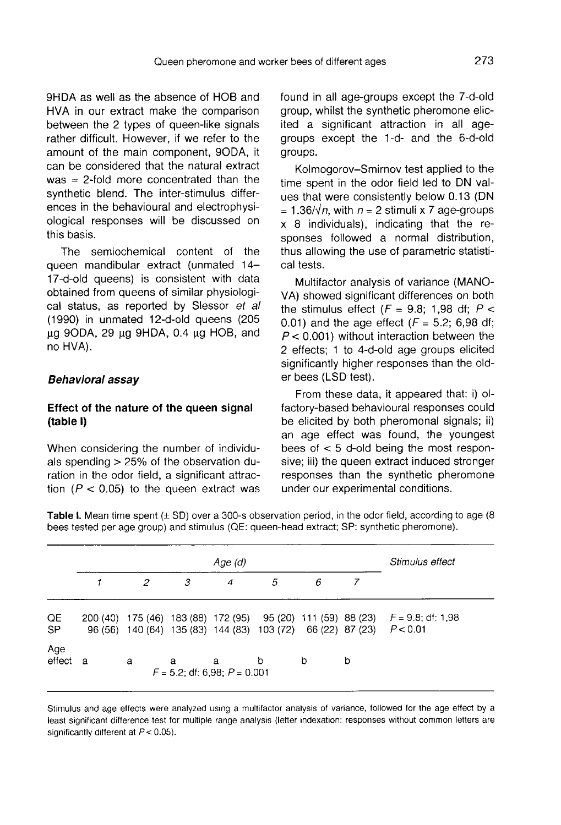9HDA as well as the absence of HOB and HVA in our extract make the comparison between the 2 types of queen-like signals rather difficult. However, if we refer to the amount of the main component, 9ODA, it can be considered that the natural extract was  $\approx$  2-fold more concentrated than the synthetic blend. The inter-stimulus differences in the behavioural and electrophysiological responses will be discussed on this basis.

The semiochemical content of the queen mandibular extract (unmated 14- 17-d-old queens) is consistent with data obtained from queens of similar physiological status, as reported by Slessor et al (1990) in unmated 12-d-old queens (205 μg 9ODA, 29 μg 9HDA, 0.4 μg HOB, and no HVA).

#### Behavioral assay

## Effect of the nature of the queen signal (table I)

When considering the number of individuals spending > 25% of the observation duration in the odor field, a significant attraction ( $P < 0.05$ ) to the queen extract was

found in all age-groups except the 7-d-old group, whilst the synthetic pheromone elicited a significant attraction in all agegroups except the 1-d- and the 6-d-old groups.

Kolmogorov-Smirnov test applied to the time spent in the odor field led to DN values that were consistently below 0.13 (DN  $= 1.36/\sqrt{n}$ , with  $n = 2$  stimuli x 7 age-groups x 8 individuals), indicating that the responses followed a normal distribution, thus allowing the use of parametric statistical tests.

Multifactor analysis of variance (MANO-VA) showed significant differences on both the stimulus effect ( $F = 9.8$ ; 1,98 df;  $P <$ 0.01) and the age effect ( $F = 5.2$ ; 6,98 df;  $P < 0.001$ ) without interaction between the 2 effects; 1 to 4-d-old age groups elicited significantly higher responses than the older bees (LSD test).

From these data, it appeared that: i) olfactory-based behavioural responses could be elicited by both pheromonal signals; ii) an age effect was found, the youngest bees of  $<$  5 d-old being the most responsive; iii) the queen extract induced stronger responses than the synthetic pheromone under our experimental conditions.

Table I. Mean time spent (± SD) over a 300-s observation period, in the odor field, according to age (8 bees tested per age group) and stimulus (QE: queen-head extract; SP: synthetic pheromone).

|                 | Age (d)     |   |                                        |   |                                                                        |   |   | Stimulus effect                                                          |
|-----------------|-------------|---|----------------------------------------|---|------------------------------------------------------------------------|---|---|--------------------------------------------------------------------------|
|                 |             | 2 | 3                                      | 4 | 5                                                                      | 6 |   |                                                                          |
| QE<br><b>SP</b> | 200(40)     |   |                                        |   | 96 (56) 140 (64) 135 (83) 144 (83) 103 (72) 66 (22) 87 (23) $P < 0.01$ |   |   | 175 (46) 183 (88) 172 (95) 95 (20) 111 (59) 88 (23) $F = 9.8$ ; df: 1,98 |
| Age<br>effect   | $\mathbf a$ | a | a<br>$F = 5.2$ ; df: 6,98; $P = 0.001$ | a | b                                                                      | b | b |                                                                          |

Stimulus and age effects were analyzed using a multifactor analysis of variance, followed for the age effect by a least significant difference test for multiple range analysis (letter indexation: responses without common letters are significantly different at  $P < 0.05$ ).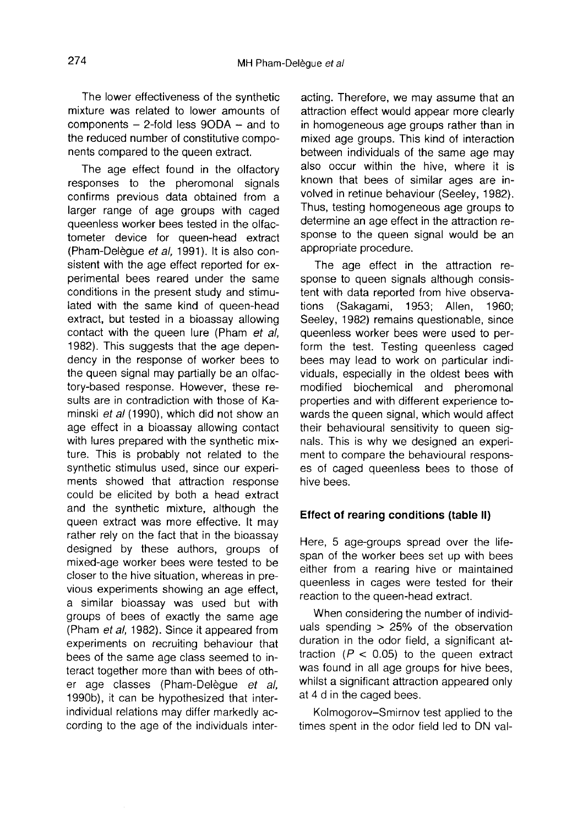The lower effectiveness of the synthetic mixture was related to lower amounts of components — 2-fold less 90DA — and to the reduced number of constitutive components compared to the queen extract.

The age effect found in the olfactory responses to the pheromonal signals confirms previous data obtained from a larger range of age groups with caged queenless worker bees tested in the olfactometer device for queen-head extract (Pham-Delègue et al, 1991). It is also consistent with the age effect reported for experimental bees reared under the same conditions in the present study and stimulated with the same kind of queen-head extract, but tested in a bioassay allowing contact with the queen lure (Pham et al, 1982). This suggests that the age dependency in the response of worker bees to the queen signal may partially be an olfactory-based response. However, these results are in contradiction with those of Kaminski et al (1990), which did not show an age effect in a bioassay allowing contact with lures prepared with the synthetic mixture. This is probably not related to the synthetic stimulus used, since our experiments showed that attraction response could be elicited by both a head extract and the synthetic mixture, although the queen extract was more effective. It may rather rely on the fact that in the bioassay designed by these authors, groups of mixed-age worker bees were tested to be closer to the hive situation, whereas in previous experiments showing an age effect, a similar bioassay was used but with groups of bees of exactly the same age (Pham et al, 1982). Since it appeared from experiments on recruiting behaviour that bees of the same age class seemed to interact together more than with bees of other age classes (Pham-Delègue et al, 1990b), it can be hypothesized that interindividual relations may differ markedly according to the age of the individuals interacting. Therefore, we may assume that an attraction effect would appear more clearly in homogeneous age groups rather than in mixed age groups. This kind of interaction between individuals of the same age may also occur within the hive, where it is known that bees of similar ages are involved in retinue behaviour (Seeley, 1982). Thus, testing homogeneous age groups to determine an age effect in the attraction response to the queen signal would be an appropriate procedure.

The age effect in the attraction response to queen signals although consistent with data reported from hive observations (Sakagami, 1953; Allen, 1960; Seeley, 1982) remains questionable, since queenless worker bees were used to perform the test. Testing queenless caged bees may lead to work on particular individuals, especially in the oldest bees with modified biochemical and pheromonal properties and with different experience towards the queen signal, which would affect their behavioural sensitivity to queen signals. This is why we designed an experiment to compare the behavioural responses of caged queenless bees to those of hive bees.

#### Effect of rearing conditions (table II)

Here, 5 age-groups spread over the lifespan of the worker bees set up with bees either from a rearing hive or maintained queenless in cages were tested for their reaction to the queen-head extract.

When considering the number of individuals spending > 25% of the observation duration in the odor field, a significant attraction  $(P < 0.05)$  to the queen extract was found in all age groups for hive bees, whilst a significant attraction appeared only at 4 d in the caged bees.

Kolmogorov-Smirnov test applied to the times spent in the odor field led to DN val-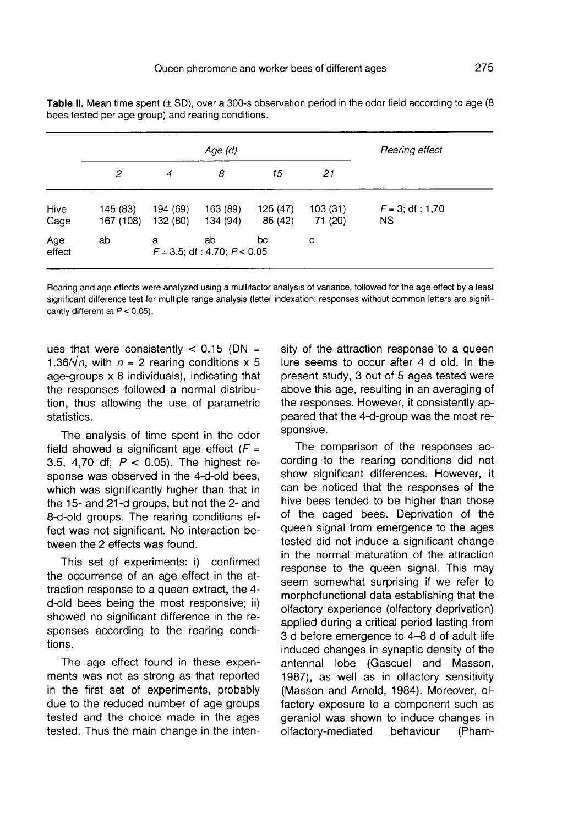|               |                       |                      | Rearing effect                          |                     |                    |                           |
|---------------|-----------------------|----------------------|-----------------------------------------|---------------------|--------------------|---------------------------|
|               | 2                     | 4                    | 8                                       | 15                  | 21                 |                           |
| Hive<br>Cage  | 145 (83)<br>167 (108) | 194 (69)<br>132 (80) | 163 (89)<br>134 (94)                    | 125 (47)<br>86 (42) | 103(31)<br>71 (20) | $F = 3$ ; df : 1,70<br>ΝS |
| Age<br>effect | ab                    | a                    | ab<br>$F = 3.5$ ; df : 4.70; $P < 0.05$ | bc                  | c                  |                           |

Table II. Mean time spent  $(\pm S_D)$ , over a 300-s observation period in the odor field according to age (8) bees tested per age group) and rearing conditions.

Rearing and age effects were analyzed using a multifactor analysis of variance, followed for the age effect by a least significant difference test for multiple range analysis (letter indexation: responses without common letters are significantly different at  $P < 0.05$ ).

ues that were consistently  $< 0.15$  (DN = 1.36/ $\sqrt{n}$ , with  $n = 2$  rearing conditions x 5 age-groups x 8 individuals), indicating that the responses followed a normal distribution, thus allowing the use of parametric statistics.

The analysis of time spent in the odor field showed a significant age effect  $(F =$ 3.5, 4,70 df;  $P < 0.05$ ). The highest response was observed in the 4-d-old bees, which was significantly higher than that in the 15- and 21-d groups, but not the 2- and 8-d-old groups. The rearing conditions effect was not significant. No interaction between the 2 effects was found.

This set of experiments: i) confirmed the occurrence of an age effect in the attraction response to a queen extract, the 4 d-old bees being the most responsive; ii) showed no significant difference in the responses according to the rearing conditions.

The age effect found in these experiments was not as strong as that reported in the first set of experiments, probably due to the reduced number of age groups tested and the choice made in the ages tested. Thus the main change in the inten-

sity of the attraction response to a queen lure seems to occur after 4 d old. In the present study, 3 out of 5 ages tested were above this age, resulting in an averaging of the responses. However, it consistently appeared that the 4-d-group was the most responsive.

The comparison of the responses according to the rearing conditions did not show significant differences. However, it can be noticed that the responses of the hive bees tended to be higher than those of the caged bees. Deprivation of the queen signal from emergence to the ages tested did not induce a significant change in the normal maturation of the attraction response to the queen signal. This may seem somewhat surprising if we refer to morphofunctional data establishing that the olfactory experience (olfactory deprivation) applied during a critical period lasting from 3 d before emergence to 4-8 d of adult life induced changes in synaptic density of the antennal lobe (Gascuel and Masson, 1987), as well as in olfactory sensitivity (Masson and Arnold, 1984). Moreover, olfactory exposure to a component such as geraniol was shown to induce changes in<br>olfactory-mediated behaviour (Phamolfactory-mediated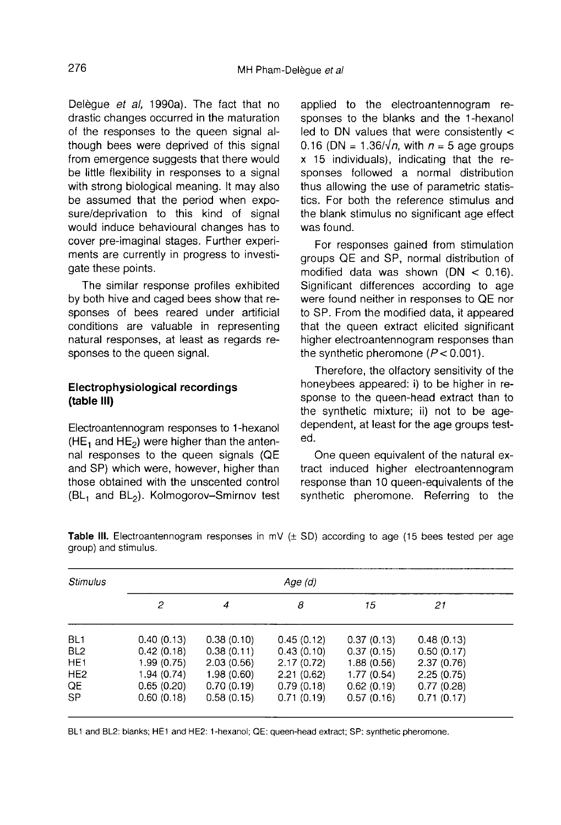Delègue et al, 1990a). The fact that no drastic changes occurred in the maturation of the responses to the queen signal although bees were deprived of this signal from emergence suggests that there would be little flexibility in responses to a signal with strong biological meaning. It may also be assumed that the period when exposure/deprivation to this kind of signal would induce behavioural changes has to cover pre-imaginal stages. Further experiments are currently in progress to investigate these points.

The similar response profiles exhibited by both hive and caged bees show that responses of bees reared under artificial conditions are valuable in representing natural responses, at least as regards responses to the queen signal.

## Electrophysiological recordings (table III)

Electroantennogram responses to 1-hexanol  $(HE<sub>1</sub>$  and  $HE<sub>2</sub>)$  were higher than the antennal responses to the queen signals (QE and SP) which were, however, higher than those obtained with the unscented control<br>( $BL_1$  and  $BL_2$ ). Kolmogorov–Smirnov test

applied to the electroantennogram responses to the blanks and the 1-hexanol led to DN values that were consistently  $<$ 0.16 (DN = 1.36/ $\sqrt{n}$ , with  $n = 5$  age groups x 15 individuals), indicating that the responses followed a normal distribution thus allowing the use of parametric statistics. For both the reference stimulus and the blank stimulus no significant age effect was found.

For responses gained from stimulation groups QE and SP, normal distribution of modified data was shown  $(DN < 0.16)$ . Significant differences according to age were found neither in responses to QE nor to SP. From the modified data, it appeared that the queen extract elicited significant higher electroantennogram responses than the synthetic pheromone  $(P < 0.001)$ .

Therefore, the olfactory sensitivity of the honeybees appeared: i) to be higher in response to the queen-head extract than to the synthetic mixture; ii) not to be agedependent, at least for the age groups tested.

One queen equivalent of the natural extract induced higher electroantennogram response than 10 queen-equivalents of the synthetic pheromone. Referring to the

| <b>Stimulus</b>                                                                             | Age (d)                                                                           |                                                                                  |                                                                                  |                                                                                  |                                                                                  |  |  |  |
|---------------------------------------------------------------------------------------------|-----------------------------------------------------------------------------------|----------------------------------------------------------------------------------|----------------------------------------------------------------------------------|----------------------------------------------------------------------------------|----------------------------------------------------------------------------------|--|--|--|
|                                                                                             | 2                                                                                 | 4                                                                                | 8                                                                                | 15                                                                               | 21                                                                               |  |  |  |
| BL <sub>1</sub><br>BL <sub>2</sub><br>HE <sub>1</sub><br>HE <sub>2</sub><br>QE<br><b>SP</b> | 0.40(0.13)<br>0.42(0.18)<br>1.99(0.75)<br>1.94 (0.74)<br>0.65(0.20)<br>0.60(0.18) | 0.38(0.10)<br>0.38(0.11)<br>2.03(0.56)<br>1.98(0.60)<br>0.70(0.19)<br>0.58(0.15) | 0.45(0.12)<br>0.43(0.10)<br>2.17(0.72)<br>2.21(0.62)<br>0.79(0.18)<br>0.71(0.19) | 0.37(0.13)<br>0.37(0.15)<br>1.88(0.56)<br>1.77(0.54)<br>0.62(0.19)<br>0.57(0.16) | 0.48(0.13)<br>0.50(0.17)<br>2.37(0.76)<br>2.25(0.75)<br>0.77(0.28)<br>0.71(0.17) |  |  |  |

**Table III.** Electroantennogram responses in mV  $(\pm$  SD) according to age (15 bees tested per age group) and stimulus.

BL1 and BL2: blanks; HE1 and HE2: 1-hexanol; QE: queen-head extract; SP: synthetic pheromone.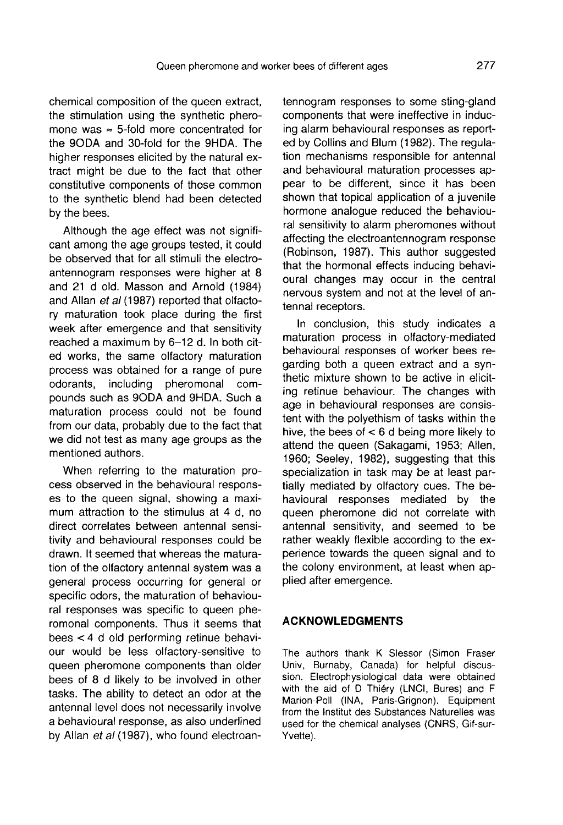chemical composition of the queen extract, the stimulation using the synthetic phero mone was  $\approx$  5-fold more concentrated for the 9ODA and 30-fold for the 9HDA. The higher responses elicited by the natural extract might be due to the fact that other constitutive components of those common to the synthetic blend had been detected by the bees.

Although the age effect was not significant among the age groups tested, it could be observed that for all stimuli the electroantennogram responses were higher at 8 and 21 d old. Masson and Arnold (1984) and Allan et al (1987) reported that olfactory maturation took place during the first week after emergence and that sensitivity reached a maximum by 6-12 d. In both cited works, the same olfactory maturation process was obtained for a range of pure<br>odorants, including pheromonal comincluding pheromonal compounds such as 9ODA and 9HDA. Such a maturation process could not be found from our data, probably due to the fact that we did not test as many age groups as the mentioned authors.

When referring to the maturation process observed in the behavioural responses to the queen signal, showing a maximum attraction to the stimulus at 4 d, no direct correlates between antennal sensitivity and behavioural responses could be drawn. It seemed that whereas the maturation of the olfactory antennal system was a general process occurring for general or specific odors, the maturation of behavioural responses was specific to queen pheromonal components. Thus it seems that bees < 4 d old performing retinue behaviour would be less olfactory-sensitive to queen pheromone components than older bees of 8 d likely to be involved in other tasks. The ability to detect an odor at the antennal level does not necessarily involve a behavioural response, as also underlined by Allan et al (1987), who found electroantennogram responses to some sting-gland components that were ineffective in inducing alarm behavioural responses as reported by Collins and Blum (1982). The regulation mechanisms responsible for antennal and behavioural maturation processes appear to be different, since it has been shown that topical application of a juvenile hormone analogue reduced the behavioural sensitivity to alarm pheromones without affecting the electroantennogram response (Robinson, 1987). This author suggested that the hormonal effects inducing behavioural changes may occur in the central nervous system and not at the level of antennal receptors.

In conclusion, this study indicates a maturation process in olfactory-mediated behavioural responses of worker bees regarding both a queen extract and a synthetic mixture shown to be active in eliciting retinue behaviour. The changes with age in behavioural responses are consistent with the polyethism of tasks within the hive, the bees of < 6 d being more likely to attend the queen (Sakagami, 1953; Allen, 1960; Seeley, 1982), suggesting that this specialization in task may be at least partially mediated by olfactory cues. The behavioural responses mediated by the queen pheromone did not correlate with antennal sensitivity, and seemed to be rather weakly flexible according to the experience towards the queen signal and to the colony environment, at least when applied after emergence.

## ACKNOWLEDGMENTS

The authors thank K Slessor (Simon Fraser Univ, Burnaby, Canada) for helpful discussion. Electrophysiological data were obtained with the aid of D Thiéry (LNCI, Bures) and F Marion-Poll (INA, Paris-Grignon). Equipment from the Institut des Substances Naturelles was used for the chemical analyses (CNRS, Gif-sur-Yvette).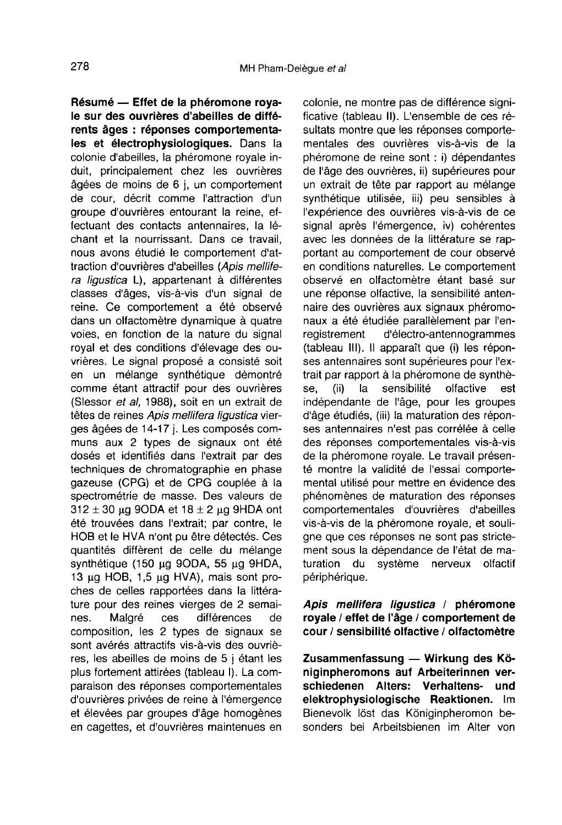Résumé — Effet de la phéromone royale sur des ouvrières d'abeilles de différents âges : réponses comportementales et électrophysiologiques. Dans la colonie d'abeilles, la phéromone royale induit, principalement chez les ouvrières âgées de moins de 6 j, un comportement de cour, décrit comme l'attraction d'un groupe d'ouvrières entourant la reine, effectuant des contacts antennaires, la léchant et la nourrissant. Dans ce travail, nous avons étudié le comportement d'attraction d'ouvrières d'abeilles (Apis mellifera ligustica L), appartenant à différentes classes d'âges, vis-à-vis d'un signal de reine. Ce comportement a été observé dans un olfactomètre dynamique à quatre voies, en fonction de la nature du signal royal et des conditions d'élevage des ouvrières. Le signal proposé a consisté soit en un mélange synthétique démontré comme étant attractif pour des ouvrières (Slessor et al, 1988), soit en un extrait de têtes de reines Apis mellifera ligustica vierges âgées de 14-17 j. Les composés communs aux 2 types de signaux ont été dosés et identifiés dans l'extrait par des techniques de chromatographie en phase gazeuse (CPG) et de CPG couplée à la spectrométrie de masse. Des valeurs de  $312 \pm 30$  μg 9ODA et  $18 \pm 2$  μg 9HDA ont été trouvées dans l'extrait; par contre, le HOB et le HVA n'ont pu être détectés. Ces quantités diffèrent de celle du mélange synthétique (150 μg 9ODA, 55 μg 9HDA, 13 μg HOB, 1,5 μg HVA), mais sont proches de celles rapportées dans la littérature pour des reines vierges de 2 semaines.<br>
Malgré ces différences de différences composition, les 2 types de signaux se sont avérés attractifs vis-à-vis des ouvrières, les abeilles de moins de 5 j étant les plus fortement attirées (tableau I). La comparaison des réponses comportementales d'ouvrières privées de reine à l'émergence et élevées par groupes d'âge homogènes en cagettes, et d'ouvrières maintenues en

colonie, ne montre pas de différence significative (tableau II). L'ensemble de ces résultats montre que les réponses comportementales des ouvrières vis-à-vis de la phéromone de reine sont : i) dépendantes de l'âge des ouvrières, ii) supérieures pour un extrait de tête par rapport au mélange synthétique utilisée, iii) peu sensibles à l'expérience des ouvrières vis-à-vis de ce signal après l'émergence, iv) cohérentes avec les données de la littérature se rapportant au comportement de cour observé en conditions naturelles. Le comportement observé en olfactomètre étant basé sur une réponse olfactive, la sensibilité antennaire des ouvrières aux signaux phéromo naux a été étudiée parallèlement par l'en-<br>registrement d'électro-antennogrammes d'électro-antennogrammes (tableau III). Il apparaît que (i) les répon ses antennaires sont supérieures pour l'extrait par rapport à la phéromone de synthè-<br>se. (ii) la sensibilité olfactive est sensibilité indépendante de l'âge, pour les groupes d'âge étudiés, (iii) la maturation des répon ses antennaires n'est pas corrélée à celle des réponses comportementales vis-à-vis de la phéromone royale. Le travail présenté montre la validité de l'essai comportemental utilisé pour mettre en évidence des phénomènes de maturation des réponses comportementales d'ouvrières d'abeilles vis-à-vis de la phéromone royale, et souligne que ces réponses ne sont pas strictement sous la dépendance de l'état de ma-<br>turation du système nerveux olfactif turation du système nerveux périphérique.

## Apis mellifera ligustica / phéromone royale / effet de l'âge / comportement de cour / sensibilité olfactive / olfactomètre

Zusammenfassung — Wirkung des Königinpheromons auf Arbeiterinnen verschiedenen Alters: Verhaltens- und elektrophysiologische Reaktionen. Im Bienevolk löst das Königinpheromon besonders bei Arbeitsbienen im Alter von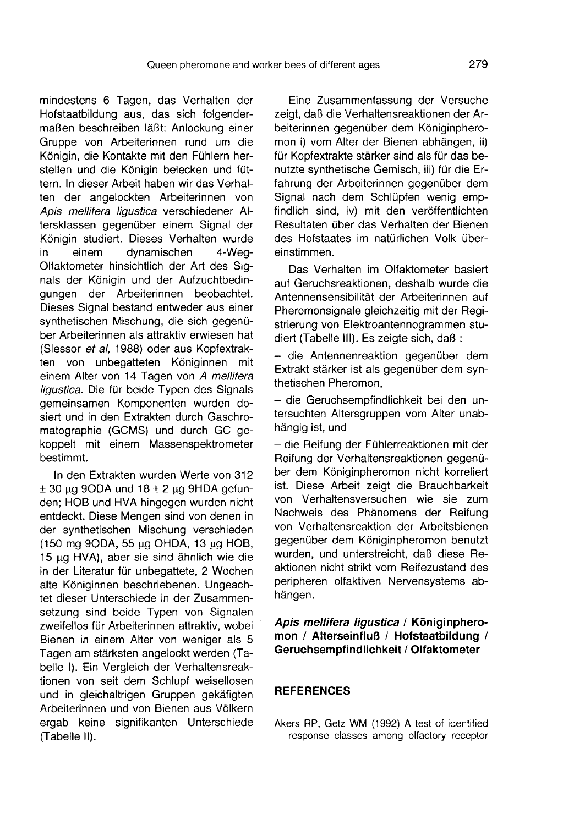mindestens 6 Tagen, das Verhalten der Hofstaatbildung aus, das sich folgendermaßen beschreiben läßt: Anlockung einer Gruppe von Arbeiterinnen rund um die Königin, die Kontakte mit den Fühlern herstellen und die Königin belecken und füttern. In dieser Arbeit haben wir das Verhalten der angelockten Arbeiterinnen von Apis mellifera ligustica verschiedener Altersklassen gegenüber einem Signal der Königin studiert. Dieses Verhalten wurde<br>in einem dynamischen 4-Wegdynamischen Olfaktometer hinsichtlich der Art des Signals der Königin und der Aufzuchtbedingungen der Arbeiterinnen beobachtet. Dieses Signal bestand entweder aus einer synthetischen Mischung, die sich gegenüber Arbeiterinnen als attraktiv erwiesen hat (Slessor et al, 1988) oder aus Kopfextrakten von unbegatteten Königinnen mit einem Alter von 14 Tagen von A mellifera ligustica. Die für beide Typen des Signals gemeinsamen Komponenten wurden dosiert und in den Extrakten durch Gaschromatographie (GCMS) und durch GC gekoppelt mit einem Massenspektrometer bestimmt.

In den Extrakten wurden Werte von 312  $\pm$  30 μg 9ODA und 18 $\pm$  2 μg 9HDA gefunden; HOB und HVA hingegen wurden nicht entdeckt. Diese Mengen sind von denen in der synthetischen Mischung verschieden (150 mg 90DA, 55 μg OHDA, 13 μg HOB, 15 μg HVA), aber sie sind ähnlich wie die in der Literatur für unbegattete, 2 Wochen alte Königinnen beschriebenen. Ungeachtet dieser Unterschiede in der Zusammensetzung sind beide Typen von Signalen zweifellos für Arbeiterinnen attraktiv, wobei Bienen in einem Alter von weniger als 5 Tagen am stärksten angelockt werden (Tabelle I). Ein Vergleich der Verhaltensreaktionen von seit dem Schlupf weisellosen und in gleichaltrigen Gruppen gekäfigten Arbeiterinnen und von Bienen aus Völkern ergab keine signifikanten Unterschiede (Tabelle II).

Eine Zusammenfassung der Versuche zeigt, daß die Verhaltensreaktionen der Arbeiterinnen gegenüber dem Königinphero mon i) vom Alter der Bienen abhängen, ii) für Kopfextrakte stärker sind als für das benutzte synthetische Gemisch, iii) für die Erfahrung der Arbeiterinnen gegenüber dem Signal nach dem Schlüpfen wenig empfindlich sind, iv) mit den veröffentlichten Resultaten über das Verhalten der Bienen des Hofstaates im natürlichen Volk übereinstimmen.

Das Verhalten im Olfaktometer basiert auf Geruchsreaktionen, deshalb wurde die Antennensensibilität der Arbeiterinnen auf Pheromonsignale gleichzeitig mit der Registrierung von Elektroantennogrammen studiert (Tabelle III). Es zeigte sich, daß :

— die Antennenreaktion gegenüber dem Extrakt stärker ist als gegenüber dem synthetischen Pheromon,

— die Geruchsempfindlichkeit bei den untersuchten Altersgruppen vom Alter unabhängig ist, und

— die Reifung der Fühlerreaktionen mit der Reifung der Verhaltensreaktionen gegenüber dem Königinpheromon nicht korreliert ist. Diese Arbeit zeigt die Brauchbarkeit von Verhaltensversuchen wie sie zum Nachweis des Phänomens der Reifung von Verhaltensreaktion der Arbeitsbienen gegenüber dem Königinpheromon benutzt wurden, und unterstreicht, daß diese Reaktionen nicht strikt vom Reifezustand des peripheren olfaktiven Nervensystems abhängen.

# Apis mellifera ligustica / Königinphero-<br>mon / Alterseinfluß / Hofstaatbildung / Geruchsempfindlichkeit / Olfaktometer

## **REFERENCES**

Akers RP, Getz WM (1992) A test of identified response classes among olfactory receptor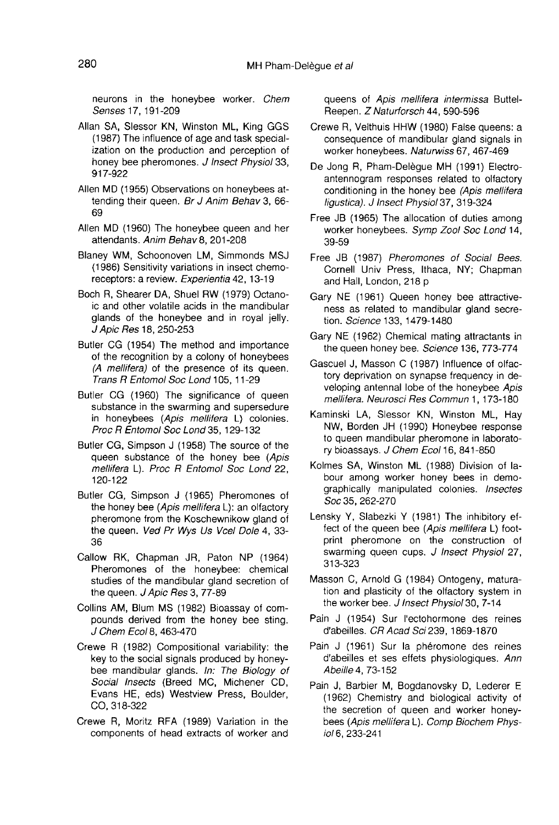neurons in the honeybee worker. Chem Senses 17, 191-209

- Allan SA, Slessor KN, Winston ML, King GGS (1987) The influence of age and task specialization on the production and perception of honey bee pheromones. J Insect Physiol 33, 917-922
- Allen MD (1955) Observations on honeybees attending their queen. Br J Anim Behav 3, 66- 69
- Allen MD (1960) The honeybee queen and her attendants. Anim Behav 8, 201-208
- Blaney WM, Schoonoven LM, Simmonds MSJ (1986) Sensitivity variations in insect chemoreceptors: a review. Experientia 42, 13-19
- Boch R, Shearer DA, Shuel RW (1979) Octanoic and other volatile acids in the mandibular glands of the honeybee and in royal jelly. J Apic Res 18, 250-253
- Butler CG (1954) The method and importance of the recognition by a colony of honeybees (A mellifera) of the presence of its queen. Trans R Entomol Soc Lond 105, 11-29
- Butler CG (1960) The significance of queen substance in the swarming and supersedure in honeybees (Apis mellifera L) colonies. Proc R Entomol Soc Lond 35, 129-132
- Butler CG, Simpson J (1958) The source of the queen substance of the honey bee (Apis mellifera L). Proc R Entomol Soc Lond 22, 120-122
- Butler CG, Simpson J (1965) Pheromones of the honey bee (Apis mellifera L): an olfactory pheromone from the Koschewnikow gland of the queen. Ved Pr Wys Us Vcel Dole 4, 33-36
- Callow RK, Chapman JR, Paton NP (1964) Pheromones of the honeybee: chemical studies of the mandibular gland secretion of the queen. J Apic Res 3, 77-89
- Collins AM, Blum MS (1982) Bioassay of compounds derived from the honey bee sting. J Chem Ecol 8, 463-470
- Crewe R (1982) Compositional variability: the key to the social signals produced by honeybee mandibular glands. In: The Biology of Social Insects (Breed MC, Michener CD, Evans HE, eds) Westview Press, Boulder, CO, 318-322
- Crewe R, Moritz RFA (1989) Variation in the components of head extracts of worker and

queens of Apis mellifera intermissa Buttel-Reepen. Z Naturforsch 44, 590-596

- Crewe R, Velthuis HHW (1980) False queens: a consequence of mandibular gland signals in worker honeybees. Naturwiss 67, 467-469
- De Jong R, Pham-Delègue MH (1991) Electroantennogram responses related to olfactory conditioning in the honey bee (Apis mellifera ligustica). J Insect Physiol 37, 319-324
- Free JB (1965) The allocation of duties among worker honeybees. Symp Zool Soc Lond 14, 39-59
- Free JB (1987) Pheromones of Social Bees. Cornell Univ Press, Ithaca, NY; Chapman and Hall, London, 218 p
- Gary NE (1961) Queen honey bee attractiveness as related to mandibular gland secretion. Science 133, 1479-1480
- Gary NE (1962) Chemical mating attractants in the queen honey bee. Science 136, 773-774
- Gascuel J, Masson C (1987) Influence of olfactory deprivation on synapse frequency in developing antennal lobe of the honeybee Apis mellifera. Neurosci Res Commun 1, 173-180
- Kaminski LA, Slessor KN, Winston ML, Hay NW, Borden JH (1990) Honeybee response to queen mandibular pheromone in laboratory bioassays. J Chem Ecol 16, 841-850
- Kolmes SA, Winston ML (1988) Division of labour among worker honey bees in demographically manipulated colonies. Insectes Soc 35, 262-270
- Lensky Y, Slabezki Y (1981) The inhibitory effect of the queen bee (Apis mellifera L) footprint pheromone on the construction of swarming queen cups. J Insect Physiol 27, 313-323
- Masson C, Arnold G (1984) Ontogeny, maturation and plasticity of the olfactory system in the worker bee. J Insect Physiol 30, 7-14
- Pain J (1954) Sur l'ectohormone des reines d'abeilles. CR Acad Sci 239, 1869-1870
- Pain J (1961) Sur la phéromone des reines d'abeilles et ses effets physiologiques. Ann Abeille 4, 73-152
- Pain J, Barbier M, Bogdanovsky D, Lederer E (1962) Chemistry and biological activity of the secretion of queen and worker honeybees (Apis mellifera L). Comp Biochem Physiol 6, 233-241